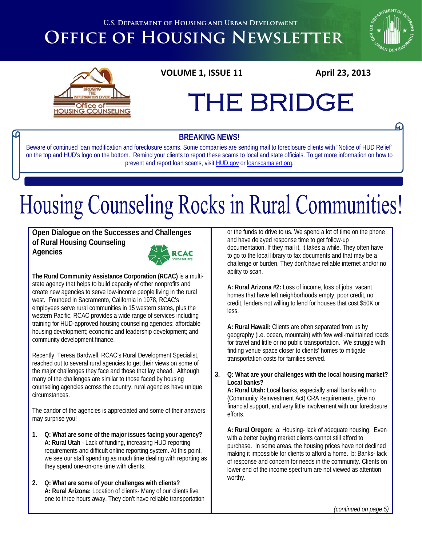**U.S. DEPARTMENT OF HOUSING AND URBAN DEVELOPMENT** 

## **OFFICE OF HOUSING NEWSLETTER**





## THE BRIDGE

#### **BREAKING NEWS!**

Beware of continued loan modification and foreclosure scams. Some companies are sending mail to foreclosure clients with "Notice of HUD Relief" on the top and HUD's logo on the bottom. Remind your clients to report these scams to local and state officials. To get more information on how to prevent and report loan scams, visit [HUD.gov](http://portal.hud.gov/hudportal/HUD?src=/program_offices/housing/prevent_loan_scams) or [loanscamalert.org.](http://www.loanscamalert.org/)

# Housing Counseling Rocks in Rural Communities!

**Open Dialogue on the Successes and Challenges of Rural Housing Counseling Agencies** 



**The Rural Community Assistance Corporation (RCAC)** is a multistate agency that helps to build capacity of other nonprofits and create new agencies to serve low-income people living in the rural west. Founded in Sacramento, California in 1978, RCAC's employees serve rural communities in 15 western states, plus the western Pacific. RCAC provides a wide range of services including training for HUD-approved housing counseling agencies; affordable housing development; economic and leadership development; and community development finance.

Recently, Teresa Bardwell, RCAC's Rural Development Specialist, reached out to several rural agencies to get their views on some of the major challenges they face and those that lay ahead. Although many of the challenges are similar to those faced by housing counseling agencies across the country, rural agencies have unique circumstances.

The candor of the agencies is appreciated and some of their answers may surprise you!

- **1. Q: What are some of the major issues facing your agency? A**: **Rural Utah** - Lack of funding, increasing HUD reporting requirements and difficult online reporting system. At this point, we see our staff spending as much time dealing with reporting as they spend one-on-one time with clients.
- **2. Q: What are some of your challenges with clients? A: Rural Arizona:** Location of clients- Many of our clients live one to three hours away. They don't have reliable transportation

or the funds to drive to us. We spend a lot of time on the phone and have delayed response time to get follow-up documentation. If they mail it, it takes a while. They often have to go to the local library to fax documents and that may be a challenge or burden. They don't have reliable internet and/or no ability to scan.

**A: Rural Arizona #2:** Loss of income, loss of jobs, vacant homes that have left neighborhoods empty, poor credit, no credit, lenders not willing to lend for houses that cost \$50K or less.

**A: Rural Hawaii:** Clients are often separated from us by geography (i.e. ocean, mountain) with few well-maintained roads for travel and little or no public transportation. We struggle with finding venue space closer to clients' homes to mitigate transportation costs for families served.

**3. Q: What are your challenges with the local housing market? Local banks?** 

**A: Rural Utah:** Local banks, especially small banks with no (Community Reinvestment Act) CRA requirements, give no financial support, and very little involvement with our foreclosure efforts.

**A: Rural Oregon:** a: Housing- lack of adequate housing. Even with a better buying market clients cannot still afford to purchase. In some areas, the housing prices have not declined making it impossible for clients to afford a home. b: Banks- lack of response and concern for needs in the community. Clients on lower end of the income spectrum are not viewed as attention worthy.

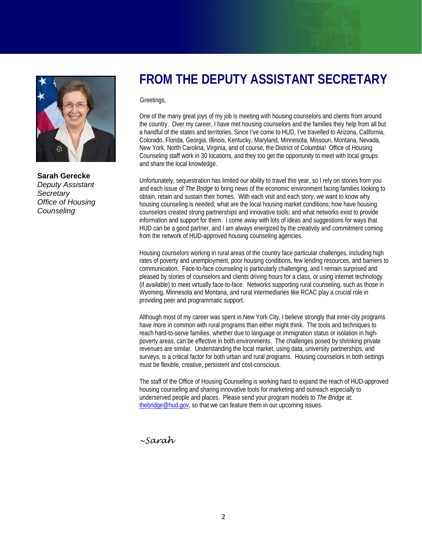

**Sarah Gerecke**  *Deputy Assistant Secretary Office of Housing Counseling* 

## **FROM THE DEPUTY ASSISTANT SECRETARY**

Greetings,

One of the many great joys of my job is meeting with housing counselors and clients from around the country. Over my career, I have met housing counselors and the families they help from all but a handful of the states and territories. Since I've come to HUD, I've travelled to Arizona, California, Colorado, Florida, Georgia, Illinois, Kentucky, Maryland, Minnesota, Missouri, Montana, Nevada, New York, North Carolina, Virginia, and of course, the District of Columbia! Office of Housing Counseling staff work in 30 locations, and they too get the opportunity to meet with local groups and share the local knowledge.

Unfortunately, sequestration has limited our ability to travel this year, so I rely on stories from you and each issue of *The Bridge* to bring news of the economic environment facing families looking to obtain, retain and sustain their homes. With each visit and each story, we want to know why housing counseling is needed; what are the local housing market conditions; how have housing counselors created strong partnerships and innovative tools; and what networks exist to provide information and support for them. I come away with lots of ideas and suggestions for ways that HUD can be a good partner, and I am always energized by the creativity and commitment coming from the network of HUD-approved housing counseling agencies.

Housing counselors working in rural areas of the country face particular challenges, including high rates of poverty and unemployment, poor housing conditions, few lending resources, and barriers to communication. Face-to-face counseling is particularly challenging, and I remain surprised and pleased by stories of counselors and clients driving hours for a class, or using internet technology (if available) to meet virtually face-to-face. Networks supporting rural counseling, such as those in Wyoming, Minnesota and Montana, and rural intermediaries like RCAC play a crucial role in providing peer and programmatic support.

Although most of my career was spent in New York City, I believe strongly that inner-city programs have more in common with rural programs than either might think. The tools and techniques to reach hard-to-serve families, whether due to language or immigration status or isolation in highpoverty areas, can be effective in both environments. The challenges posed by shrinking private revenues are similar. Understanding the local market, using data, university partnerships, and surveys, is a critical factor for both urban and rural programs. Housing counselors in both settings must be flexible, creative, persistent and cost-conscious.

The staff of the Office of Housing Counseling is working hard to expand the reach of HUD-approved housing counseling and sharing innovative tools for marketing and outreach especially to underserved people and places. Please send your program models to *The Bridge* at: [thebridge@hud.gov](mailto:thebridge@hud.gov), so that we can feature them in our upcoming issues.

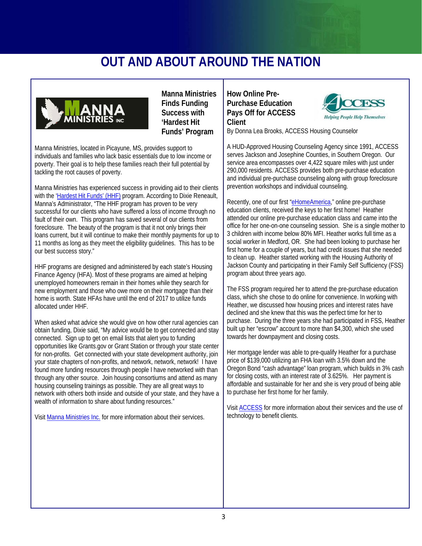## **OUT AND ABOUT AROUND THE NATION**



**Manna Ministries Finds Funding Success with 'Hardest Hit Funds' Program**

Manna Ministries, located in Picayune, MS, provides support to individuals and families who lack basic essentials due to low income or poverty. Their goal is to help these families reach their full potential by tackling the root causes of poverty.

Manna Ministries has experienced success in providing aid to their clients with the '[Hardest Hit Funds' \(HHF\)](http://www.treasury.gov/initiatives/financial-stability/TARP-Programs/housing/hhf/Pages/default.aspx) program. According to Dixie Reneault, Manna's Administrator, "The HHF program has proven to be very successful for our clients who have suffered a loss of income through no fault of their own. This program has saved several of our clients from foreclosure. The beauty of the program is that it not only brings their loans current, but it will continue to make their monthly payments for up to 11 months as long as they meet the eligibility guidelines. This has to be our best success story."

HHF programs are designed and administered by each state's Housing Finance Agency (HFA). Most of these programs are aimed at helping unemployed homeowners remain in their homes while they search for new employment and those who owe more on their mortgage than their home is worth. State HFAs have until the end of 2017 to utilize funds allocated under HHF.

When asked what advice she would give on how other rural agencies can obtain funding, Dixie said, "My advice would be to get connected and stay connected. Sign up to get on email lists that alert you to funding opportunities like Grants.gov or Grant Station or through your state center for non-profits. Get connected with your state development authority, join your state chapters of non-profits, and network, network, network! I have found more funding resources through people I have networked with than through any other source. Join housing consortiums and attend as many housing counseling trainings as possible. They are all great ways to network with others both inside and outside of your state, and they have a wealth of information to share about funding resources."

Visit [Manna Ministries Inc.](http://mannaministry.net/index.html) for more information about their services.

**How Online Pre-Purchase Education Pays Off for ACCESS Client** 



By Donna Lea Brooks, ACCESS Housing Counselor

A HUD-Approved Housing Counseling Agency since 1991, ACCESS serves Jackson and Josephine Counties, in Southern Oregon. Our service area encompasses over 4,422 square miles with just under 290,000 residents. ACCESS provides both pre-purchase education and individual pre-purchase counseling along with group foreclosure prevention workshops and individual counseling.

Recently, one of our first ["eHomeAmerica,](http://ehomeamerica.org/)" online pre-purchase education clients, received the keys to her first home! Heather attended our online pre-purchase education class and came into the office for her one-on-one counseling session. She is a single mother to 3 children with income below 80% MFI. Heather works full time as a social worker in Medford, OR. She had been looking to purchase her first home for a couple of years, but had credit issues that she needed to clean up. Heather started working with the Housing Authority of Jackson County and participating in their Family Self Sufficiency (FSS) program about three years ago.

The FSS program required her to attend the pre-purchase education class, which she chose to do online for convenience. In working with Heather, we discussed how housing prices and interest rates have declined and she knew that this was the perfect time for her to purchase. During the three years she had participated in FSS, Heather built up her "escrow" account to more than \$4,300, which she used towards her downpayment and closing costs.

Her mortgage lender was able to pre-qualify Heather for a purchase price of \$139,000 utilizing an FHA loan with 3.5% down and the Oregon Bond "cash advantage" loan program, which builds in 3% cash for closing costs, with an interest rate of 3.625%. Her payment is affordable and sustainable for her and she is very proud of being able to purchase her first home for her family.

Visit [ACCESS](http://www.accesshelps.org/index.asp) for more information about their services and the use of technology to benefit clients.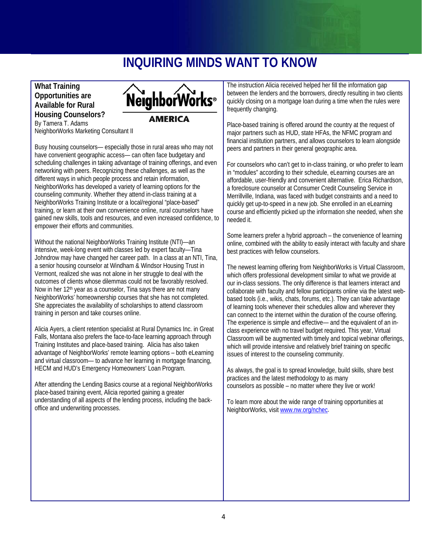## **INQUIRING MINDS WANT TO KNOW**

#### **What Training Opportunities are Available for Rural Housing Counselors?**  By Tamera T. Adams



NeighborWorks Marketing Consultant II

Busy housing counselors— especially those in rural areas who may not have convenient geographic access— can often face budgetary and scheduling challenges in taking advantage of training offerings, and even networking with peers. Recognizing these challenges, as well as the different ways in which people process and retain information, NeighborWorks has developed a variety of learning options for the counseling community. Whether they attend in-class training at a NeighborWorks Training Institute or a local/regional "place-based" training, or learn at their own convenience online, rural counselors have gained new skills, tools and resources, and even increased confidence, to empower their efforts and communities.

Without the national NeighborWorks Training Institute (NTI)—an intensive, week-long event with classes led by expert faculty—Tina Johndrow may have changed her career path. In a class at an NTI, Tina, a senior housing counselor at Windham & Windsor Housing Trust in Vermont, realized she was not alone in her struggle to deal with the outcomes of clients whose dilemmas could not be favorably resolved. Now in her 12th year as a counselor, Tina says there are not many NeighborWorks' homeownership courses that she has not completed. She appreciates the availability of scholarships to attend classroom training in person and take courses online.

Alicia Ayers, a client retention specialist at Rural Dynamics Inc. in Great Falls, Montana also prefers the face-to-face learning approach through Training Institutes and place-based training. Alicia has also taken advantage of NeighborWorks' remote learning options – both eLearning and virtual classroom— to advance her learning in mortgage financing, HECM and HUD's Emergency Homeowners' Loan Program.

After attending the Lending Basics course at a regional NeighborWorks place-based training event, Alicia reported gaining a greater understanding of all aspects of the lending process, including the backoffice and underwriting processes.

The instruction Alicia received helped her fill the information gap between the lenders and the borrowers, directly resulting in two clients quickly closing on a mortgage loan during a time when the rules were frequently changing.

Place-based training is offered around the country at the request of major partners such as HUD, state HFAs, the NFMC program and financial institution partners, and allows counselors to learn alongside peers and partners in their general geographic area.

For counselors who can't get to in-class training, or who prefer to learn in "modules" according to their schedule, eLearning courses are an affordable, user-friendly and convenient alternative. Erica Richardson, a foreclosure counselor at Consumer Credit Counseling Service in Merrillville, Indiana, was faced with budget constraints and a need to quickly get up-to-speed in a new job. She enrolled in an eLearning course and efficiently picked up the information she needed, when she needed it.

Some learners prefer a hybrid approach – the convenience of learning online, combined with the ability to easily interact with faculty and share best practices with fellow counselors.

The newest learning offering from NeighborWorks is Virtual Classroom, which offers professional development similar to what we provide at our in-class sessions. The only difference is that learners interact and collaborate with faculty and fellow participants online via the latest webbased tools (i.e., wikis, chats, forums, etc.). They can take advantage of learning tools whenever their schedules allow and wherever they can connect to the internet within the duration of the course offering. The experience is simple and effective— and the equivalent of an inclass experience with no travel budget required. This year, Virtual Classroom will be augmented with timely and topical webinar offerings, which will provide intensive and relatively brief training on specific issues of interest to the counseling community.

As always, the goal is to spread knowledge, build skills, share best practices and the latest methodology to as many counselors as possible – no matter where they live or work!

To learn more about the wide range of training opportunities at NeighborWorks, visit [www.nw.org/nchec.](http://www.nw.org/nchec)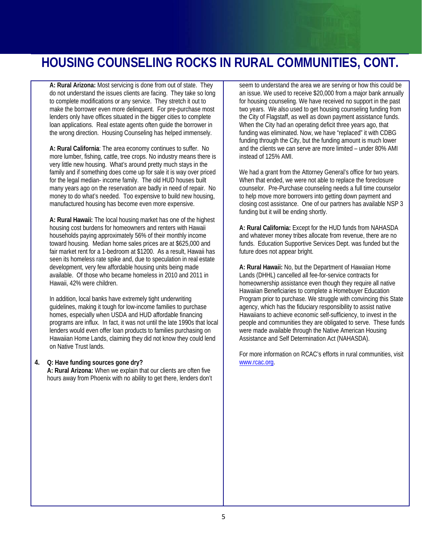### **HOUSING COUNSELING ROCKS IN RURAL COMMUNITIES, CONT.**

**A: Rural Arizona:** Most servicing is done from out of state. They do not understand the issues clients are facing. They take so long to complete modifications or any service. They stretch it out to make the borrower even more delinquent. For pre-purchase most lenders only have offices situated in the bigger cities to complete loan applications. Real estate agents often guide the borrower in the wrong direction. Housing Counseling has helped immensely.

**A: Rural California**: The area economy continues to suffer. No more lumber, fishing, cattle, tree crops. No industry means there is very little new housing. What's around pretty much stays in the family and if something does come up for sale it is way over priced for the legal median- income family. The old HUD houses built many years ago on the reservation are badly in need of repair. No money to do what's needed. Too expensive to build new housing, manufactured housing has become even more expensive.

**A: Rural Hawaii:** The local housing market has one of the highest housing cost burdens for homeowners and renters with Hawaii households paying approximately 56% of their monthly income toward housing. Median home sales prices are at \$625,000 and fair market rent for a 1-bedroom at \$1200. As a result, Hawaii has seen its homeless rate spike and, due to speculation in real estate development, very few affordable housing units being made available. Of those who became homeless in 2010 and 2011 in Hawaii, 42% were children.

In addition, local banks have extremely tight underwriting guidelines, making it tough for low-income families to purchase homes, especially when USDA and HUD affordable financing programs are influx. In fact, it was not until the late 1990s that local lenders would even offer loan products to families purchasing on Hawaiian Home Lands, claiming they did not know they could lend on Native Trust lands.

#### **4. Q: Have funding sources gone dry?**

**A: Rural Arizona:** When we explain that our clients are often five hours away from Phoenix with no ability to get there, lenders don't seem to understand the area we are serving or how this could be an issue. We used to receive \$20,000 from a major bank annually for housing counseling. We have received no support in the past two years. We also used to get housing counseling funding from the City of Flagstaff, as well as down payment assistance funds. When the City had an operating deficit three years ago, that funding was eliminated. Now, we have "replaced" it with CDBG funding through the City, but the funding amount is much lower and the clients we can serve are more limited – under 80% AMI instead of 125% AMI.

We had a grant from the Attorney General's office for two years. When that ended, we were not able to replace the foreclosure counselor. Pre-Purchase counseling needs a full time counselor to help move more borrowers into getting down payment and closing cost assistance. One of our partners has available NSP 3 funding but it will be ending shortly.

**A: Rural California:** Except for the HUD funds from NAHASDA and whatever money tribes allocate from revenue, there are no funds. Education Supportive Services Dept. was funded but the future does not appear bright.

**A: Rural Hawaii:** No, but the Department of Hawaiian Home Lands (DHHL) cancelled all fee-for-service contracts for homeownership assistance even though they require all native Hawaiian Beneficiaries to complete a Homebuyer Education Program prior to purchase. We struggle with convincing this State agency, which has the fiduciary responsibility to assist native Hawaiians to achieve economic self-sufficiency, to invest in the people and communities they are obligated to serve. These funds were made available through the Native American Housing Assistance and Self Determination Act (NAHASDA).

For more information on RCAC's efforts in rural communities, visit [www.rcac.org](http://www.rcac.org/).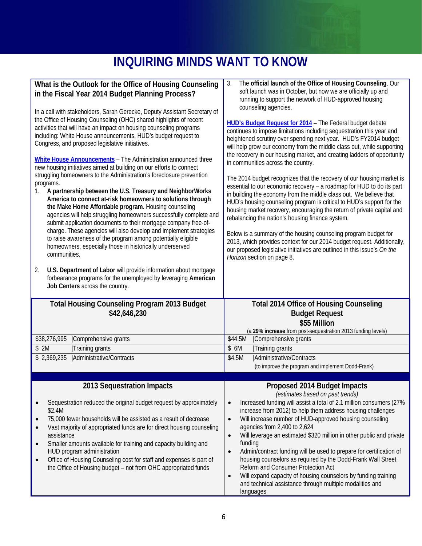## **INQUIRING MINDS WANT TO KNOW**

| What is the Outlook for the Office of Housing Counseling<br>in the Fiscal Year 2014 Budget Planning Process?<br>In a call with stakeholders, Sarah Gerecke, Deputy Assistant Secretary of<br>the Office of Housing Counseling (OHC) shared highlights of recent<br>activities that will have an impact on housing counseling programs<br>including: White House announcements, HUD's budget request to<br>Congress, and proposed legislative initiatives.<br>White House Announcements - The Administration announced three<br>new housing initiatives aimed at building on our efforts to connect<br>struggling homeowners to the Administration's foreclosure prevention<br>programs.<br>A partnership between the U.S. Treasury and NeighborWorks<br>1.<br>America to connect at-risk homeowners to solutions through<br>the Make Home Affordable program. Housing counseling<br>agencies will help struggling homeowners successfully complete and<br>submit application documents to their mortgage company free-of-<br>charge. These agencies will also develop and implement strategies<br>to raise awareness of the program among potentially eligible<br>homeowners, especially those in historically underserved<br>communities.<br>U.S. Department of Labor will provide information about mortgage<br>2.<br>forbearance programs for the unemployed by leveraging American<br>Job Centers across the country. | The official launch of the Office of Housing Counseling. Our<br>3.<br>soft launch was in October, but now we are officially up and<br>running to support the network of HUD-approved housing<br>counseling agencies.<br><b>HUD's Budget Request for 2014</b> - The Federal budget debate<br>continues to impose limitations including sequestration this year and<br>heightened scrutiny over spending next year. HUD's FY2014 budget<br>will help grow our economy from the middle class out, while supporting<br>the recovery in our housing market, and creating ladders of opportunity<br>in communities across the country.<br>The 2014 budget recognizes that the recovery of our housing market is<br>essential to our economic recovery - a roadmap for HUD to do its part<br>in building the economy from the middle class out. We believe that<br>HUD's housing counseling program is critical to HUD's support for the<br>housing market recovery, encouraging the return of private capital and<br>rebalancing the nation's housing finance system.<br>Below is a summary of the housing counseling program budget for<br>2013, which provides context for our 2014 budget request. Additionally,<br>our proposed legislative initiatives are outlined in this issue's On the<br>Horizon section on page 8. |
|---------------------------------------------------------------------------------------------------------------------------------------------------------------------------------------------------------------------------------------------------------------------------------------------------------------------------------------------------------------------------------------------------------------------------------------------------------------------------------------------------------------------------------------------------------------------------------------------------------------------------------------------------------------------------------------------------------------------------------------------------------------------------------------------------------------------------------------------------------------------------------------------------------------------------------------------------------------------------------------------------------------------------------------------------------------------------------------------------------------------------------------------------------------------------------------------------------------------------------------------------------------------------------------------------------------------------------------------------------------------------------------------------------------------------|-------------------------------------------------------------------------------------------------------------------------------------------------------------------------------------------------------------------------------------------------------------------------------------------------------------------------------------------------------------------------------------------------------------------------------------------------------------------------------------------------------------------------------------------------------------------------------------------------------------------------------------------------------------------------------------------------------------------------------------------------------------------------------------------------------------------------------------------------------------------------------------------------------------------------------------------------------------------------------------------------------------------------------------------------------------------------------------------------------------------------------------------------------------------------------------------------------------------------------------------------------------------------------------------------------------------------|
|                                                                                                                                                                                                                                                                                                                                                                                                                                                                                                                                                                                                                                                                                                                                                                                                                                                                                                                                                                                                                                                                                                                                                                                                                                                                                                                                                                                                                           |                                                                                                                                                                                                                                                                                                                                                                                                                                                                                                                                                                                                                                                                                                                                                                                                                                                                                                                                                                                                                                                                                                                                                                                                                                                                                                                         |
|                                                                                                                                                                                                                                                                                                                                                                                                                                                                                                                                                                                                                                                                                                                                                                                                                                                                                                                                                                                                                                                                                                                                                                                                                                                                                                                                                                                                                           |                                                                                                                                                                                                                                                                                                                                                                                                                                                                                                                                                                                                                                                                                                                                                                                                                                                                                                                                                                                                                                                                                                                                                                                                                                                                                                                         |
| <b>Total Housing Counseling Program 2013 Budget</b><br>\$42,646,230                                                                                                                                                                                                                                                                                                                                                                                                                                                                                                                                                                                                                                                                                                                                                                                                                                                                                                                                                                                                                                                                                                                                                                                                                                                                                                                                                       | <b>Total 2014 Office of Housing Counseling</b><br><b>Budget Request</b><br>\$55 Million                                                                                                                                                                                                                                                                                                                                                                                                                                                                                                                                                                                                                                                                                                                                                                                                                                                                                                                                                                                                                                                                                                                                                                                                                                 |
| \$38,276,995<br>Comprehensive grants                                                                                                                                                                                                                                                                                                                                                                                                                                                                                                                                                                                                                                                                                                                                                                                                                                                                                                                                                                                                                                                                                                                                                                                                                                                                                                                                                                                      | (a 29% increase from post-sequestration 2013 funding levels)<br>Comprehensive grants<br>\$44.5M                                                                                                                                                                                                                                                                                                                                                                                                                                                                                                                                                                                                                                                                                                                                                                                                                                                                                                                                                                                                                                                                                                                                                                                                                         |
| \$2M<br>Training grants                                                                                                                                                                                                                                                                                                                                                                                                                                                                                                                                                                                                                                                                                                                                                                                                                                                                                                                                                                                                                                                                                                                                                                                                                                                                                                                                                                                                   | \$ 6M<br>Training grants                                                                                                                                                                                                                                                                                                                                                                                                                                                                                                                                                                                                                                                                                                                                                                                                                                                                                                                                                                                                                                                                                                                                                                                                                                                                                                |
| Administrative/Contracts<br>\$2,369,235                                                                                                                                                                                                                                                                                                                                                                                                                                                                                                                                                                                                                                                                                                                                                                                                                                                                                                                                                                                                                                                                                                                                                                                                                                                                                                                                                                                   | \$4.5M<br>Administrative/Contracts<br>(to improve the program and implement Dodd-Frank)                                                                                                                                                                                                                                                                                                                                                                                                                                                                                                                                                                                                                                                                                                                                                                                                                                                                                                                                                                                                                                                                                                                                                                                                                                 |
| 2013 Sequestration Impacts                                                                                                                                                                                                                                                                                                                                                                                                                                                                                                                                                                                                                                                                                                                                                                                                                                                                                                                                                                                                                                                                                                                                                                                                                                                                                                                                                                                                | Proposed 2014 Budget Impacts                                                                                                                                                                                                                                                                                                                                                                                                                                                                                                                                                                                                                                                                                                                                                                                                                                                                                                                                                                                                                                                                                                                                                                                                                                                                                            |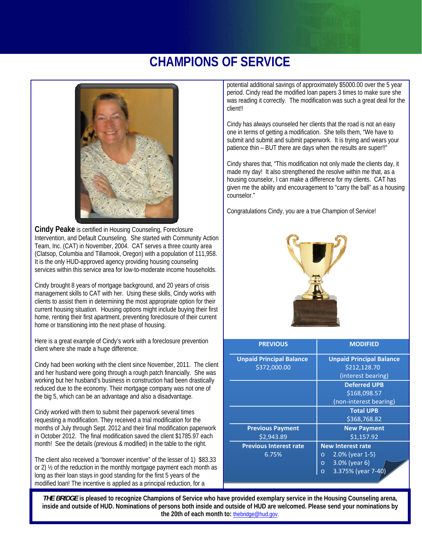## **CHAMPIONS OF SERVICE**



**Cindy Peake** is certified in Housing Counseling, Foreclosure Intervention, and Default Counseling. She started with Community Action Team, Inc. (CAT) in November, 2004. CAT serves a three county area (Clatsop, Columbia and Tillamook, Oregon) with a population of 111,958. It is the only HUD-approved agency providing housing counseling services within this service area for low-to-moderate income households.

Cindy brought 8 years of mortgage background, and 20 years of crisis management skills to CAT with her. Using these skills, Cindy works with clients to assist them in determining the most appropriate option for their current housing situation. Housing options might include buying their first home, renting their first apartment, preventing foreclosure of their current home or transitioning into the next phase of housing.

Here is a great example of Cindy's work with a foreclosure prevention client where she made a huge difference.

Cindy had been working with the client since November, 2011. The client and her husband were going through a rough patch financially. She was working but her husband's business in construction had been drastically reduced due to the economy. Their mortgage company was not one of the big 5, which can be an advantage and also a disadvantage.

Cindy worked with them to submit their paperwork several times requesting a modification. They received a trial modification for the months of July through Sept. 2012 and their final modification paperwork in October 2012. The final modification saved the client \$1785.97 each month! See the details (previous & modified) in the table to the right.

The client also received a "borrower incentive" of the lesser of 1) \$83.33 or 2) ½ of the reduction in the monthly mortgage payment each month as long as their loan stays in good standing for the first 5 years of the modified loan! The incentive is applied as a principal reduction, for a

potential additional savings of approximately \$5000.00 over the 5 year period. Cindy read the modified loan papers 3 times to make sure she was reading it correctly. The modification was such a great deal for the client!!

Cindy has always counseled her clients that the road is not an easy one in terms of getting a modification. She tells them, "We have to submit and submit and submit paperwork. It is trying and wears your patience thin - BUT there are days when the results are super!!"

Cindy shares that, "This modification not only made the clients day, it made my day! It also strengthened the resolve within me that, as a housing counselor, I can make a difference for my clients. CAT has given me the ability and encouragement to "carry the ball" as a housing counselor."

Congratulations Cindy, you are a true Champion of Service!



| <b>PREVIOUS</b>                 | <b>MODIFIED</b>                    |
|---------------------------------|------------------------------------|
| <b>Unpaid Principal Balance</b> | <b>Unpaid Principal Balance</b>    |
| \$372,000.00                    | \$212,128.70                       |
|                                 | (interest bearing)                 |
|                                 | <b>Deferred UPB</b>                |
|                                 | \$168,098.57                       |
|                                 | (non-interest bearing)             |
|                                 | <b>Total UPB</b>                   |
|                                 | \$368,768.82                       |
| <b>Previous Payment</b>         | <b>New Payment</b>                 |
| \$2.943.89                      | \$1,157.92                         |
| <b>Previous Interest rate</b>   | <b>New Interest rate</b>           |
| 6.75%                           | $2.0\%$ (year 1-5)<br>$\circ$      |
|                                 | $3.0\%$ (year 6)<br>$\overline{O}$ |
|                                 | 3.375% (year 7-40)<br>$\Omega$     |

**the 20th of each month to:** the bridge@hud.gov. *THE BRIDGE* **is pleased to recognize Champions of Service who have provided exemplary service in the Housing Counseling arena, inside and outside of HUD. Nominations of persons both inside and outside of HUD are welcomed. Please send your nominations by**